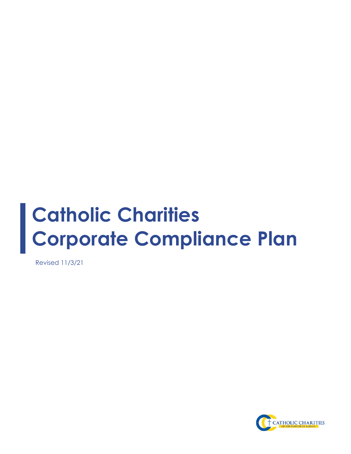# **Catholic Charities Corporate Compliance Plan**

Revised 11/3/21

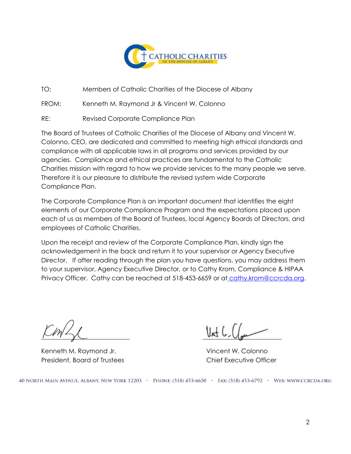

TO: Members of Catholic Charities of the Diocese of Albany

FROM: Kenneth M. Raymond Jr & Vincent W. Colonno

RE: Revised Corporate Compliance Plan

The Board of Trustees of Catholic Charities of the Diocese of Albany and Vincent W. Colonno, CEO, are dedicated and committed to meeting high ethical standards and compliance with all applicable laws in all programs and services provided by our agencies. Compliance and ethical practices are fundamental to the Catholic Charities mission with regard to how we provide services to the many people we serve. Therefore it is our pleasure to distribute the revised system wide Corporate Compliance Plan.

The Corporate Compliance Plan is an important document that identifies the eight elements of our Corporate Compliance Program and the expectations placed upon each of us as members of the Board of Trustees, local Agency Boards of Directors, and employees of Catholic Charities.

Upon the receipt and review of the Corporate Compliance Plan, kindly sign the acknowledgement in the back and return it to your supervisor or Agency Executive Director. If after reading through the plan you have questions, you may address them to your supervisor, Agency Executive Director, or to Cathy Krom, Compliance & HIPAA Privacy Officer. Cathy can be reached at 518-453-6659 or at [cathy.krom@ccrcda.org.](mailto:cathy.krom@ccrcda.org)

\_\_\_\_\_\_\_\_\_\_\_\_\_\_\_\_\_\_\_\_\_\_\_\_\_\_\_\_ \_\_\_\_\_\_\_\_\_\_\_\_\_\_\_\_\_\_\_\_\_\_\_\_\_

Kenneth M. Raymond Jr. (2008) Wincent W. Colonno President, Board of Trustees Chief Executive Officer

40 NORTH MAIN AVENUE, ALBANY, NEW YORK 12203 > PHONE: (518) 453-6650 > FAX: (518) 453-6792 > WEB: WWW.CCRCDA.ORG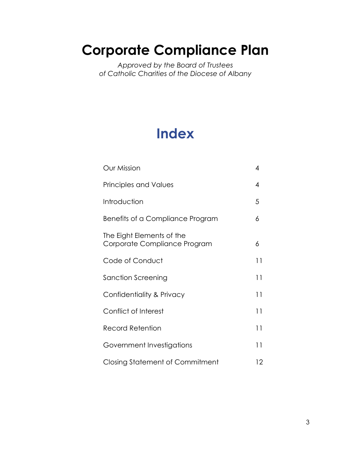# **Corporate Compliance Plan**

*Approved by the Board of Trustees of Catholic Charities of the Diocese of Albany*

# **Index**

| <b>Our Mission</b>                                        | 4  |
|-----------------------------------------------------------|----|
| <b>Principles and Values</b>                              | 4  |
| Introduction                                              | 5  |
| Benefits of a Compliance Program                          | 6  |
| The Eight Elements of the<br>Corporate Compliance Program | 6  |
| Code of Conduct                                           | 11 |
| Sanction Screening                                        | 11 |
| Confidentiality & Privacy                                 | 11 |
| Conflict of Interest                                      | 11 |
| Record Retention                                          | 11 |
| Government Investigations                                 | 11 |
| Closing Statement of Commitment                           | 12 |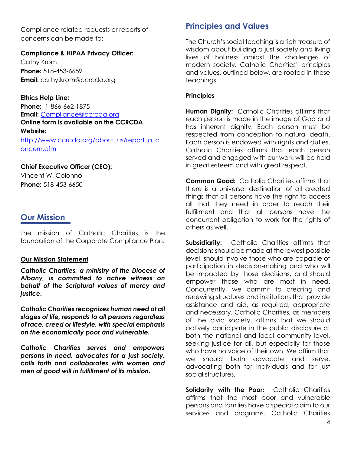Compliance related requests or reports of concerns can be made to**:**

#### **Compliance & HIPAA Privacy Officer:**

Cathy Krom **Phone:** 518-453-6659 **Email:** cathy.krom@ccrcda.org

**Ethics Help Line: Phone:** 1-866-662-1875 **Email:** [Compliance@ccrcda.org](mailto:Compliance@ccrcda.org) **Online form is available on the CCRCDA Website:** [http://www.ccrcda.org/about\\_us/report\\_a\\_c](http://www.ccrcda.org/about_us/report_a_concern.cfm) [oncern.cfm](http://www.ccrcda.org/about_us/report_a_concern.cfm)

#### **Chief Executive Officer (CEO):**

Vincent W. Colonno **Phone:** 518-453-6650

# **Our Mission**

The mission of Catholic Charities is the foundation of the Corporate Compliance Plan.

#### **Our Mission Statement**

*Catholic Charities, a ministry of the Diocese of Albany, is committed to active witness on behalf of the Scriptural values of mercy and justice.*

*Catholic Charities recognizes human need at all stages of life, responds to all persons regardless of race, creed or lifestyle, with special emphasis on the economically poor and vulnerable.* 

*Catholic Charities serves and empowers persons in need, advocates for a just society, calls forth and collaborates with women and men of good will in fulfillment of its mission.*

# **Principles and Values**

The Church's social teaching is a rich treasure of wisdom about building a just society and living lives of holiness amidst the challenges of modern society. Catholic Charities' principles and values, outlined below, are rooted in these teachings.

#### **Principles**

**Human Dignity:** Catholic Charities affirms that each person is made in the image of God and has inherent dignity. Each person must be respected from conception to natural death. Each person is endowed with rights and duties. Catholic Charities affirms that each person served and engaged with our work will be held in great esteem and with great respect.

**Common Good:** Catholic Charities affirms that there is a universal destination of all created things that all persons have the right to access all that they need in order to reach their fulfillment and that all persons have the concurrent obligation to work for the rights of others as well.

**Subsidiarity:** Catholic Charities affirms that decisions should be made at the lowest possible level, should involve those who are capable of participation in decision-making and who will be impacted by those decisions, and should empower those who are most in need. Concurrently, we commit to creating and renewing structures and institutions that provide assistance and aid, as required, appropriate and necessary. Catholic Charities, as members of the civic society, affirms that we should actively participate in the public disclosure at both the national and local community level, seeking justice for all, but especially for those who have no voice of their own. We affirm that we should both advocate and serve, advocating both for individuals and for just social structures.

**Solidarity with the Poor:** Catholic Charities affirms that the most poor and vulnerable persons and families have a special claim to our services and programs. Catholic Charities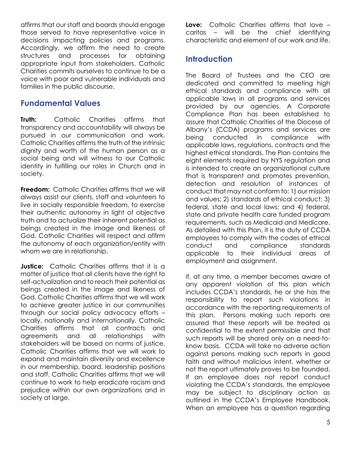affirms that our staff and boards should engage those served to have representative voice in decisions impacting policies and programs. Accordingly, we affirm the need to create structures and processes for obtaining appropriate input from stakeholders. Catholic Charities commits ourselves to continue to be a voice with poor and vulnerable individuals and families in the public discourse.

## **Fundamental Values**

**Truth:** Catholic Charities affirms that transparency and accountability will always be pursued in our communication and work. Catholic Charities affirms the truth of the intrinsic dignity and worth of the human person as a social being and will witness to our Catholic identity in fulfilling our roles in Church and in society.

**Freedom:** Catholic Charities affirms that we will always assist our clients, staff and volunteers to live in socially responsible freedom, to exercise their authentic autonomy in light of objective truth and to actualize their inherent potential as beings created in the image and likeness of God. Catholic Charities will respect and affirm the autonomy of each organization/entity with whom we are in relationship.

**Justice:** Catholic Charities affirms that it is a matter of justice that all clients have the right to self-actualization and to reach their potential as beings created in the image and likeness of God. Catholic Charities affirms that we will work to achieve greater justice in our communities through our social policy advocacy efforts – locally, nationally and internationally. Catholic Charities affirms that all contracts and agreements and all relationships with stakeholders will be based on norms of justice. Catholic Charities affirms that we will work to expand and maintain diversity and excellence in our membership, board, leadership positions and staff. Catholic Charities affirms that we will continue to work to help eradicate racism and prejudice within our own organizations and in society at large.

**Love:** Catholic Charities affirms that love – caritas – will be the chief identifying characteristic and element of our work and life.

# **Introduction**

The Board of Trustees and the CEO are dedicated and committed to meeting high ethical standards and compliance with all applicable laws in all programs and services provided by our agencies. A Corporate Compliance Plan has been established to assure that Catholic Charities of the Diocese of Albany's (CCDA) programs and services are being conducted in compliance with applicable laws, regulations, contracts and the highest ethical standards. The Plan contains the eight elements required by NYS regulation and is intended to create an organizational culture that is transparent and promotes prevention, detection and resolution of instances of conduct that may not conform to: 1) our mission and values; 2) standards of ethical conduct; 3) federal, state and local laws; and 4) federal, state and private health care funded program requirements, such as Medicaid and Medicare. As detailed with this Plan, it is the duty of CCDA employees to comply with the codes of ethical conduct and compliance standards applicable to their individual areas of employment and assignment.

If, at any time, a member becomes aware of any apparent violation of this plan which includes CCDA's standards, he or she has the responsibility to report such violations in accordance with the reporting requirements of this plan. Persons making such reports are assured that these reports will be treated as confidential to the extent permissible and that such reports will be shared only on a need-toknow basis. CCDA will take no adverse action against persons making such reports in good faith and without malicious intent, whether or not the report ultimately proves to be founded. If an employee does not report conduct violating the CCDA's standards, the employee may be subject to disciplinary action as outlined in the CCDA's Employee Handbook. When an employee has a question regarding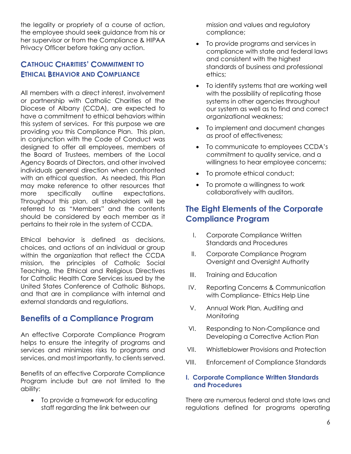the legality or propriety of a course of action, the employee should seek guidance from his or her supervisor or from the Compliance & HIPAA Privacy Officer before taking any action.

## **CATHOLIC CHARITIES' COMMITMENT TO ETHICAL BEHAVIOR AND COMPLIANCE**

All members with a direct interest, involvement or partnership with Catholic Charities of the Diocese of Albany (CCDA), are expected to have a commitment to ethical behaviors within this system of services. For this purpose we are providing you this Compliance Plan. This plan, in conjunction with the Code of Conduct was designed to offer all employees, members of the Board of Trustees, members of the Local Agency Boards of Directors, and other involved individuals general direction when confronted with an ethical question. As needed, this Plan may make reference to other resources that more specifically outline expectations. Throughout this plan, all stakeholders will be referred to as "Members" and the contents should be considered by each member as it pertains to their role in the system of CCDA.

Ethical behavior is defined as decisions, choices, and actions of an individual or group within the organization that reflect the CCDA mission, the principles of Catholic Social Teaching, the Ethical and Religious Directives for Catholic Health Care Services issued by the United States Conference of Catholic Bishops, and that are in compliance with internal and external standards and regulations.

### **Benefits of a Compliance Program**

An effective Corporate Compliance Program helps to ensure the integrity of programs and services and minimizes risks to programs and services, and most importantly, to clients served.

Benefits of an effective Corporate Compliance Program include but are not limited to the ability:

 To provide a framework for educating staff regarding the link between our

mission and values and regulatory compliance;

- To provide programs and services in compliance with state and federal laws and consistent with the highest standards of business and professional ethics;
- To identify systems that are working well with the possibility of replicating those systems in other agencies throughout our system as well as to find and correct organizational weakness;
- To implement and document changes as proof of effectiveness;
- To communicate to employees CCDA's commitment to quality service, and a willingness to hear employee concerns;
- To promote ethical conduct;
- To promote a willingness to work collaboratively with auditors.

# **The Eight Elements of the Corporate Compliance Program**

- I. Corporate Compliance Written Standards and Procedures
- II. Corporate Compliance Program Oversight and Oversight Authority
- III. Training and Education
- IV. Reporting Concerns & Communication with Compliance- Ethics Help Line
- V. Annual Work Plan, Auditing and Monitoring
- VI. Responding to Non-Compliance and Developing a Corrective Action Plan
- VII. Whistleblower Provisions and Protection
- VIII. Enforcement of Compliance Standards

#### **I. Corporate Compliance Written Standards and Procedures**

There are numerous federal and state laws and regulations defined for programs operating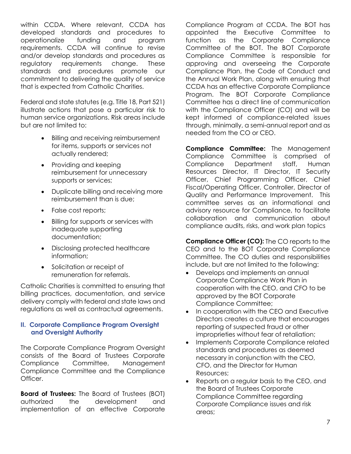within CCDA. Where relevant, CCDA has developed standards and procedures to operationalize funding and program requirements. CCDA will continue to revise and/or develop standards and procedures as regulatory requirements change. These standards and procedures promote our commitment to delivering the quality of service that is expected from Catholic Charities.

Federal and state statutes (e.g. Title 18, Part 521) illustrate actions that pose a particular risk to human service organizations. Risk areas include but are not limited to:

- Billing and receiving reimbursement for items, supports or services not actually rendered;
- Providing and keeping reimbursement for unnecessary supports or services;
- Duplicate billing and receiving more reimbursement than is due;
- False cost reports;
- Billing for supports or services with inadequate supporting documentation;
- Disclosing protected healthcare information;
- Solicitation or receipt of remuneration for referrals.

Catholic Charities is committed to ensuring that billing practices, documentation, and service delivery comply with federal and state laws and regulations as well as contractual agreements.

#### **II. Corporate Compliance Program Oversight and Oversight Authority**

The Corporate Compliance Program Oversight consists of the Board of Trustees Corporate Compliance Committee, Management Compliance Committee and the Compliance Officer.

**Board of Trustees:** The Board of Trustees (BOT) authorized the development and implementation of an effective Corporate Compliance Program at CCDA. The BOT has appointed the Executive Committee to function as the Corporate Compliance Committee of the BOT. The BOT Corporate Compliance Committee is responsible for approving and overseeing the Corporate Compliance Plan, the Code of Conduct and the Annual Work Plan, along with ensuring that CCDA has an effective Corporate Compliance Program. The BOT Corporate Compliance Committee has a direct line of communication with the Compliance Officer (CO) and will be kept informed of compliance-related issues through, minimally, a semi-annual report and as needed from the CO or CEO.

**Compliance Committee:** The Management Compliance Committee is comprised of Compliance Department staff, Human Resources Director, IT Director, IT Security Officer, Chief Programming Officer, Chief Fiscal/Operating Officer, Controller, Director of Quality and Performance Improvement. This committee serves as an informational and advisory resource for Compliance, to facilitate collaboration and communication about compliance audits, risks, and work plan topics

**Compliance Officer (CO):** The CO reports to the CEO and to the BOT Corporate Compliance Committee. The CO duties and responsibilities include, but are not limited to the following:

- Develops and implements an annual Corporate Compliance Work Plan in cooperation with the CEO, and CFO to be approved by the BOT Corporate Compliance Committee;
- In cooperation with the CEO and Executive Directors creates a culture that encourages reporting of suspected fraud or other improprieties without fear of retaliation;
- Implements Corporate Compliance related standards and procedures as deemed necessary in conjunction with the CEO, CFO, and the Director for Human Resources;
- Reports on a regular basis to the CEO, and the Board of Trustees Corporate Compliance Committee regarding Corporate Compliance issues and risk areas;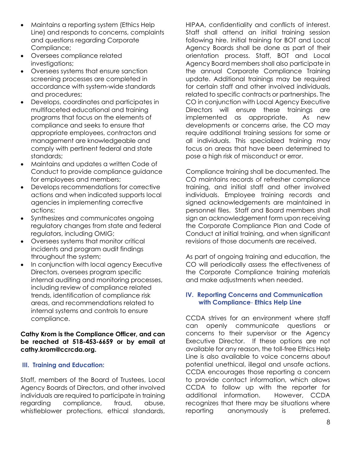- Maintains a reporting system (Ethics Help Line) and responds to concerns, complaints and questions regarding Corporate Compliance;
- Oversees compliance related investigations;
- Oversees systems that ensure sanction screening processes are completed in accordance with system-wide standards and procedures;
- Develops, coordinates and participates in multifaceted educational and training programs that focus on the elements of compliance and seeks to ensure that appropriate employees, contractors and management are knowledgeable and comply with pertinent federal and state standards;
- Maintains and updates a written Code of Conduct to provide compliance guidance for employees and members;
- Develops recommendations for corrective actions and when indicated supports local agencies in implementing corrective actions;
- Synthesizes and communicates ongoing regulatory changes from state and federal regulators, including OMIG;
- Oversees systems that monitor critical incidents and program audit findings throughout the system;
- In conjunction with local agency Executive Directors, oversees program specific internal auditing and monitoring processes, including review of compliance related trends, identification of compliance risk areas, and recommendations related to internal systems and controls to ensure compliance.

#### **Cathy Krom is the Compliance Officer, and can be reached at 518-453-6659 or by email at cathy.krom@ccrcda.org.**

#### **III. Training and Education:**

Staff, members of the Board of Trustees, Local Agency Boards of Directors, and other involved individuals are required to participate in training regarding compliance, fraud, abuse, whistleblower protections, ethical standards,

HIPAA, confidentiality and conflicts of interest. Staff shall attend an initial training session following hire. Initial training for BOT and Local Agency Boards shall be done as part of their orientation process. Staff, BOT and Local Agency Board members shall also participate in the annual Corporate Compliance Training update. Additional trainings may be required for certain staff and other involved individuals, related to specific contracts or partnerships. The CO in conjunction with Local Agency Executive Directors will ensure these trainings are implemented as appropriate. As new developments or concerns arise, the CO may require additional training sessions for some or all individuals. This specialized training may focus on areas that have been determined to pose a high risk of misconduct or error.

Compliance training shall be documented. The CO maintains records of refresher compliance training, and initial staff and other involved individuals. Employee training records and signed acknowledgements are maintained in personnel files. Staff and Board members shall sign an acknowledgement form upon receiving the Corporate Compliance Plan and Code of Conduct at initial training, and when significant revisions of those documents are received.

As part of ongoing training and education, the CO will periodically assess the effectiveness of the Corporate Compliance training materials and make adjustments when needed.

#### **IV. Reporting Concerns and Communication with Compliance**- **Ethics Help Line**

CCDA strives for an environment where staff can openly communicate questions or concerns to their supervisor or the Agency Executive Director. If these options are not available for any reason, the toll-free Ethics Help Line is also available to voice concerns about potential unethical, illegal and unsafe actions. CCDA encourages those reporting a concern to provide contact information, which allows CCDA to follow up with the reporter for additional information. However, CCDA recognizes that there may be situations where reporting anonymously is preferred.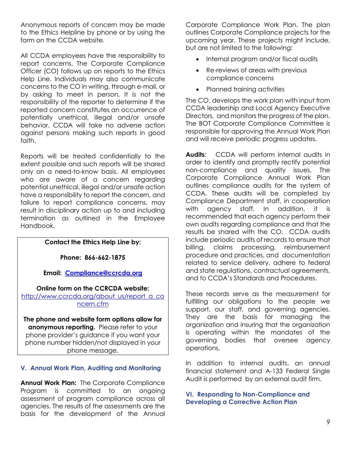Anonymous reports of concern may be made to the Ethics Helpline by phone or by using the form on the CCDA website.

All CCDA employees have the responsibility to report concerns. The Corporate Compliance Officer (CO) follows up on reports to the Ethics Help Line. Individuals may also communicate concerns to the CO in writing, through e-mail, or by asking to meet in person. It is not the responsibility of the reporter to determine if the reported concern constitutes an occurrence of potentially unethical, illegal and/or unsafe behavior. CCDA will take no adverse action against persons making such reports in good faith.

Reports will be treated confidentially to the extent possible and such reports will be shared only on a need-to-know basis. All employees who are aware of a concern regarding potential unethical, illegal and/or unsafe action have a responsibility to report the concern, and failure to report compliance concerns, may result in disciplinary action up to and including termination as outlined in the Employee Handbook.

#### **Contact the Ethics Help Line by:**

**Phone: 866-662-1875**

**Email: [Compliance@ccrcda.org](mailto:Compliance@ccrcda.org)**

**Online form on the CCRCDA website:**  [http://www.ccrcda.org/about\\_us/report\\_a\\_co](http://www.ccrcda.org/about_us/report_a_concern.cfm) [ncern.cfm](http://www.ccrcda.org/about_us/report_a_concern.cfm)

**The phone and website form options allow for anonymous reporting.** Please refer to your phone provider's guidance if you want your phone number hidden/not displayed in your phone message.

#### **V. Annual Work Plan, Auditing and Monitoring**

**Annual Work Plan:** The Corporate Compliance Program is committed to an ongoing assessment of program compliance across all agencies. The results of the assessments are the basis for the development of the Annual Corporate Compliance Work Plan. The plan outlines Corporate Compliance projects for the upcoming year. These projects might include, but are not limited to the following:

- Internal program and/or fiscal audits
- Re-reviews of areas with previous compliance concerns
- Planned training activities

The CO, develops the work plan with input from CCDA leadership and Local Agency Executive Directors, and monitors the progress of the plan. The BOT Corporate Compliance Committee is responsible for approving the Annual Work Plan and will receive periodic progress updates.

**Audits**: CCDA will perform internal audits in order to identify and promptly rectify potential non-compliance and quality issues. The Corporate Compliance Annual Work Plan outlines compliance audits for the system of CCDA. These audits will be completed by Compliance Department staff, in cooperation with agency staff. In addition, it is recommended that each agency perform their own audits regarding compliance and that the results be shared with the CO. CCDA audits include periodic audits of records to ensure that billing, claims processing, reimbursement procedure and practices, and documentation related to service delivery, adhere to federal and state regulations, contractual agreements, and to CCDA's Standards and Procedures.

These records serve as the measurement for fulfilling our obligations to the people we support, our staff, and governing agencies. They are the basis for managing the organization and insuring that the organization is operating within the mandates of the governing bodies that oversee agency operations.

In addition to internal audits, an annual financial statement and A-133 Federal Single Audit is performed by an external audit firm.

**VI. Responding to Non-Compliance and Developing a Corrective Action Plan**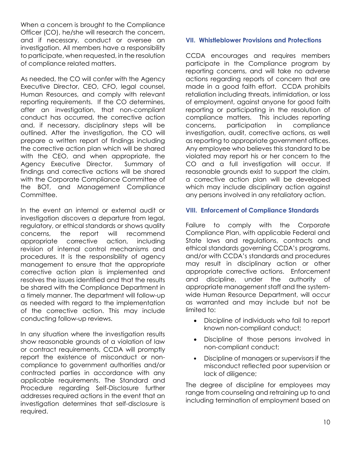When a concern is brought to the Compliance Officer (CO), he/she will research the concern, and if necessary, conduct or oversee an investigation. All members have a responsibility to participate, when requested, in the resolution of compliance related matters.

As needed, the CO will confer with the Agency Executive Director, CEO, CFO, legal counsel, Human Resources, and comply with relevant reporting requirements. If the CO determines, after an investigation, that non-compliant conduct has occurred, the corrective action and, if necessary, disciplinary steps will be outlined. After the investigation, the CO will prepare a written report of findings including the corrective action plan which will be shared with the CEO, and when appropriate, the Agency Executive Director. Summary of findings and corrective actions will be shared with the Corporate Compliance Committee of the BOT, and Management Compliance Committee.

In the event an internal or external audit or investigation discovers a departure from legal, regulatory, or ethical standards or shows quality concerns, the report will recommend appropriate corrective action, including revision of internal control mechanisms and procedures. It is the responsibility of agency management to ensure that the appropriate corrective action plan is implemented and resolves the issues identified and that the results be shared with the Compliance Department in a timely manner. The department will follow-up as needed with regard to the implementation of the corrective action. This may include conducting follow-up reviews.

In any situation where the investigation results show reasonable grounds of a violation of law or contract requirements, CCDA will promptly report the existence of misconduct or noncompliance to government authorities and/or contracted parties in accordance with any applicable requirements. The Standard and Procedure regarding Self-Disclosure further addresses required actions in the event that an investigation determines that self-disclosure is required.

#### **VII. Whistleblower Provisions and Protections**

CCDA encourages and requires members participate in the Compliance program by reporting concerns, and will take no adverse actions regarding reports of concern that are made in a good faith effort. CCDA prohibits retaliation including threats, intimidation, or loss of employment, against anyone for good faith reporting or participating in the resolution of compliance matters. This includes reporting concerns, participation in compliance investigation, audit, corrective actions, as well as reporting to appropriate government offices. Any employee who believes this standard to be violated may report his or her concern to the CO and a full investigation will occur. If reasonable grounds exist to support the claim, a corrective action plan will be developed which may include disciplinary action against any persons involved in any retaliatory action.

#### **VIII. Enforcement of Compliance Standards**

Failure to comply with the Corporate Compliance Plan, with applicable Federal and State laws and regulations, contracts and ethical standards governing CCDA's programs, and/or with CCDA's standards and procedures may result in disciplinary action or other appropriate corrective actions. Enforcement and discipline, under the authority of appropriate management staff and the systemwide Human Resource Department, will occur as warranted and may include but not be limited to:

- Discipline of individuals who fail to report known non-compliant conduct;
- Discipline of those persons involved in non-compliant conduct;
- Discipline of managers or supervisors if the misconduct reflected poor supervision or lack of diligence;

The degree of discipline for employees may range from counseling and retraining up to and including termination of employment based on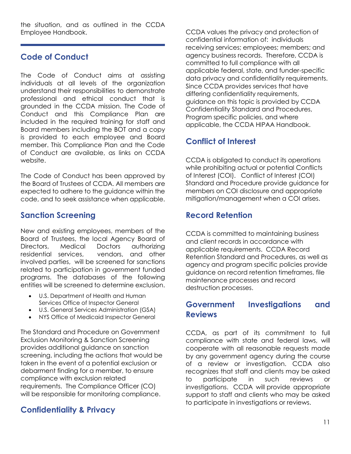the situation, and as outlined in the CCDA Employee Handbook.

# **Code of Conduct**

The Code of Conduct aims at assisting individuals at all levels of the organization understand their responsibilities to demonstrate professional and ethical conduct that is grounded in the CCDA mission. The Code of Conduct and this Compliance Plan are included in the required training for staff and Board members including the BOT and a copy is provided to each employee and Board member. This Compliance Plan and the Code of Conduct are available, as links on CCDA website.

The Code of Conduct has been approved by the Board of Trustees of CCDA. All members are expected to adhere to the guidance within the code, and to seek assistance when applicable.

# **Sanction Screening**

New and existing employees, members of the Board of Trustees, the local Agency Board of Directors, Medical Doctors authorizing<br>residential services, vendors, and other vendors, and other involved parties, will be screened for sanctions related to participation in government funded programs. The databases of the following entities will be screened to determine exclusion.

- U.S. Department of Health and Human Services Office of Inspector General
- U.S. General Services Administration (GSA)
- NYS Office of Medicaid Inspector General

The Standard and Procedure on Government Exclusion Monitoring & Sanction Screening provides additional guidance on sanction screening, including the actions that would be taken in the event of a potential exclusion or debarment finding for a member, to ensure compliance with exclusion related requirements. The Compliance Officer (CO) will be responsible for monitoring compliance.

# **Confidentiality & Privacy**

CCDA values the privacy and protection of confidential information of: individuals receiving services; employees; members; and agency business records. Therefore, CCDA is committed to full compliance with all applicable federal, state, and funder-specific data privacy and confidentiality requirements. Since CCDA provides services that have differing confidentiality requirements, guidance on this topic is provided by CCDA Confidentiality Standard and Procedures, Program specific policies, and where applicable, the CCDA HIPAA Handbook.

# **Conflict of Interest**

CCDA is obligated to conduct its operations while prohibiting actual or potential Conflicts of Interest (COI). Conflict of Interest (COI) Standard and Procedure provide guidance for members on COI disclosure and appropriate mitigation/management when a COI arises.

# **Record Retention**

CCDA is committed to maintaining business and client records in accordance with applicable requirements. CCDA Record Retention Standard and Procedures, as well as agency and program specific policies provide guidance on record retention timeframes, file maintenance processes and record destruction processes.

# **Government Investigations and Reviews**

CCDA, as part of its commitment to full compliance with state and federal laws, will cooperate with all reasonable requests made by any government agency during the course of a review or investigation. CCDA also recognizes that staff and clients may be asked to participate in such reviews or investigations. CCDA will provide appropriate support to staff and clients who may be asked to participate in investigations or reviews.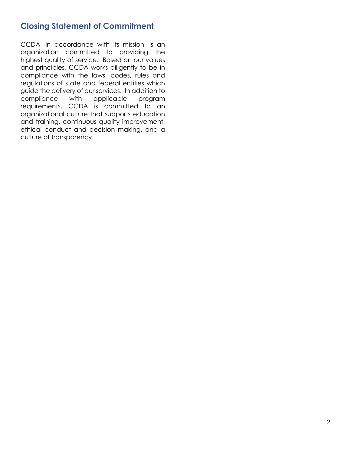# **Closing Statement of Commitment**

CCDA, in accordance with its mission, is an organization committed to providing the highest quality of service. Based on our values and principles, CCDA works diligently to be in compliance with the laws, codes, rules and regulations of state and federal entities which guide the delivery of our services. In addition to compliance with applicable program requirements, CCDA is committed to an organizational culture that supports education and training, continuous quality improvement, ethical conduct and decision making, and a culture of transparency.